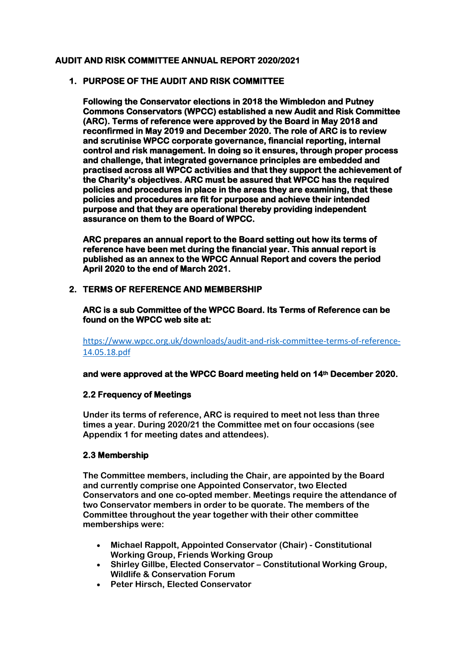#### **AUDIT AND RISK COMMITTEE ANNUAL REPORT 2020/2021**

## **1. PURPOSE OF THE AUDIT AND RISK COMMITTEE**

**Following the Conservator elections in 2018 the Wimbledon and Putney Commons Conservators (WPCC) established a new Audit and Risk Committee (ARC). Terms of reference were approved by the Board in May 2018 and reconfirmed in May 2019 and December 2020. The role of ARC is to review and scrutinise WPCC corporate governance, financial reporting, internal control and risk management. In doing so it ensures, through proper process and challenge, that integrated governance principles are embedded and practised across all WPCC activities and that they support the achievement of the Charity's objectives. ARC must be assured that WPCC has the required policies and procedures in place in the areas they are examining, that these policies and procedures are fit for purpose and achieve their intended purpose and that they are operational thereby providing independent assurance on them to the Board of WPCC.** 

**ARC prepares an annual report to the Board setting out how its terms of reference have been met during the financial year. This annual report is published as an annex to the WPCC Annual Report and covers the period April 2020 to the end of March 2021.** 

## **2. TERMS OF REFERENCE AND MEMBERSHIP**

**ARC is a sub Committee of the WPCC Board. Its Terms of Reference can be found on the WPCC web site at:** 

[https://www.wpcc.org.uk/downloads/audit-and-risk-committee-terms-of-reference-](https://www.wpcc.org.uk/downloads/audit-and-risk-committee-terms-of-reference-14.05.18.pdf)[14.05.18.pdf](https://www.wpcc.org.uk/downloads/audit-and-risk-committee-terms-of-reference-14.05.18.pdf)

**and were approved at the WPCC Board meeting held on 14th December 2020.** 

#### **2.2 Frequency of Meetings**

**Under its terms of reference, ARC is required to meet not less than three times a year. During 2020/21 the Committee met on four occasions (see Appendix 1 for meeting dates and attendees).** 

#### **2.3 Membership**

**The Committee members, including the Chair, are appointed by the Board and currently comprise one Appointed Conservator, two Elected Conservators and one co-opted member. Meetings require the attendance of two Conservator members in order to be quorate. The members of the Committee throughout the year together with their other committee memberships were:** 

- **Michael Rappolt, Appointed Conservator (Chair) - Constitutional Working Group, Friends Working Group**
- **Shirley Gillbe, Elected Conservator – Constitutional Working Group, Wildlife & Conservation Forum**
- **Peter Hirsch, Elected Conservator**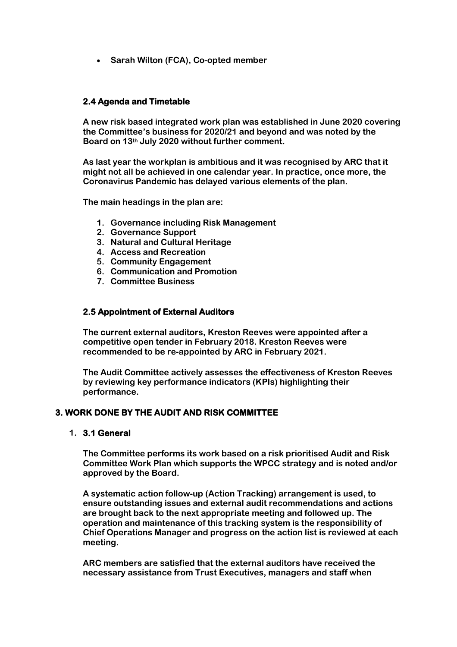• **Sarah Wilton (FCA), Co-opted member**

#### **2.4 Agenda and Timetable**

**A new risk based integrated work plan was established in June 2020 covering the Committee's business for 2020/21 and beyond and was noted by the Board on 13th July 2020 without further comment.** 

**As last year the workplan is ambitious and it was recognised by ARC that it might not all be achieved in one calendar year. In practice, once more, the Coronavirus Pandemic has delayed various elements of the plan.**

**The main headings in the plan are:** 

- **1. Governance including Risk Management**
- **2. Governance Support**
- **3. Natural and Cultural Heritage**
- **4. Access and Recreation**
- **5. Community Engagement**
- **6. Communication and Promotion**
- **7. Committee Business**

#### **2.5 Appointment of External Auditors**

**The current external auditors, Kreston Reeves were appointed after a competitive open tender in February 2018. Kreston Reeves were recommended to be re-appointed by ARC in February 2021.**

**The Audit Committee actively assesses the effectiveness of Kreston Reeves by reviewing key performance indicators (KPIs) highlighting their performance.**

#### **3. WORK DONE BY THE AUDIT AND RISK COMMITTEE**

#### **1. 3.1 General**

**The Committee performs its work based on a risk prioritised Audit and Risk Committee Work Plan which supports the WPCC strategy and is noted and/or approved by the Board.** 

**A systematic action follow-up (Action Tracking) arrangement is used, to ensure outstanding issues and external audit recommendations and actions are brought back to the next appropriate meeting and followed up. The operation and maintenance of this tracking system is the responsibility of Chief Operations Manager and progress on the action list is reviewed at each meeting.** 

**ARC members are satisfied that the external auditors have received the necessary assistance from Trust Executives, managers and staff when**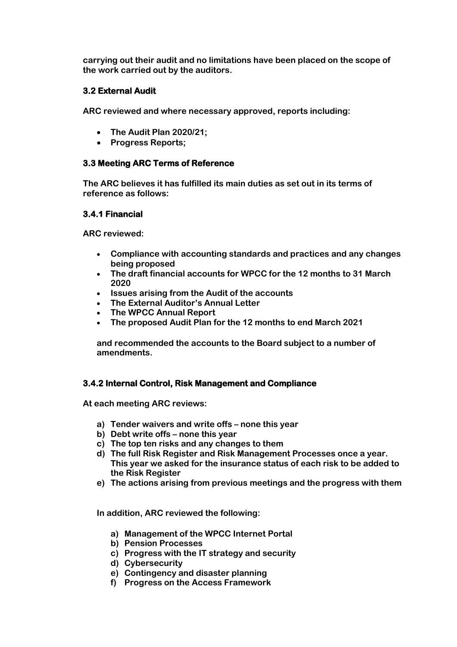**carrying out their audit and no limitations have been placed on the scope of the work carried out by the auditors.** 

## **3.2 External Audit**

**ARC reviewed and where necessary approved, reports including:** 

- **The Audit Plan 2020/21;**
- **Progress Reports;**

## **3.3 Meeting ARC Terms of Reference**

**The ARC believes it has fulfilled its main duties as set out in its terms of reference as follows:**

## **3.4.1 Financial**

**ARC reviewed:** 

- **Compliance with accounting standards and practices and any changes being proposed**
- **The draft financial accounts for WPCC for the 12 months to 31 March 2020**
- **Issues arising from the Audit of the accounts**
- **The External Auditor's Annual Letter**
- **The WPCC Annual Report**
- **The proposed Audit Plan for the 12 months to end March 2021**

**and recommended the accounts to the Board subject to a number of amendments.**

# **3.4.2 Internal Control, Risk Management and Compliance**

**At each meeting ARC reviews:**

- **a) Tender waivers and write offs – none this year**
- **b) Debt write offs – none this year**
- **c) The top ten risks and any changes to them**
- **d) The full Risk Register and Risk Management Processes once a year. This year we asked for the insurance status of each risk to be added to the Risk Register**
- **e) The actions arising from previous meetings and the progress with them**

**In addition, ARC reviewed the following:**

- **a) Management of the WPCC Internet Portal**
- **b) Pension Processes**
- **c) Progress with the IT strategy and security**
- **d) Cybersecurity**
- **e) Contingency and disaster planning**
- **f) Progress on the Access Framework**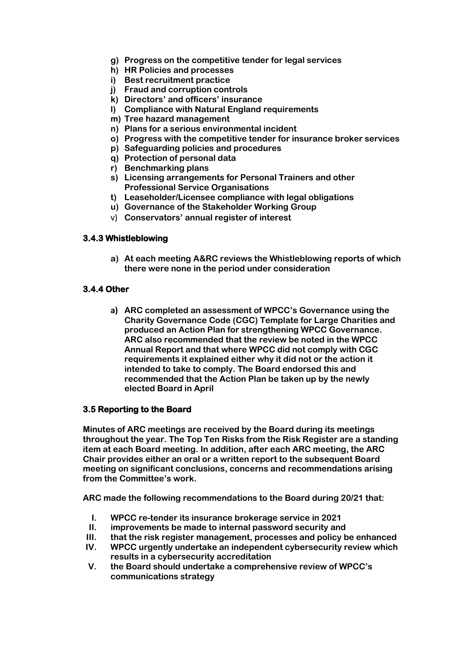- **g) Progress on the competitive tender for legal services**
- **h) HR Policies and processes**
- **i) Best recruitment practice**
- **j) Fraud and corruption controls**
- **k) Directors' and officers' insurance**
- **l) Compliance with Natural England requirements**
- **m) Tree hazard management**
- **n) Plans for a serious environmental incident**
- **o) Progress with the competitive tender for insurance broker services**
- **p) Safeguarding policies and procedures**
- **q) Protection of personal data**
- **r) Benchmarking plans**
- **s) Licensing arrangements for Personal Trainers and other Professional Service Organisations**
- **t) Leaseholder/Licensee compliance with legal obligations**
- **u) Governance of the Stakeholder Working Group**
- v) **Conservators' annual register of interest**

## **3.4.3 Whistleblowing**

**a) At each meeting A&RC reviews the Whistleblowing reports of which there were none in the period under consideration**

# **3.4.4 Other**

**a) ARC completed an assessment of WPCC's Governance using the Charity Governance Code (CGC) Template for Large Charities and produced an Action Plan for strengthening WPCC Governance. ARC also recommended that the review be noted in the WPCC Annual Report and that where WPCC did not comply with CGC requirements it explained either why it did not or the action it intended to take to comply. The Board endorsed this and recommended that the Action Plan be taken up by the newly elected Board in April**

# **3.5 Reporting to the Board**

**Minutes of ARC meetings are received by the Board during its meetings throughout the year. The Top Ten Risks from the Risk Register are a standing item at each Board meeting. In addition, after each ARC meeting, the ARC Chair provides either an oral or a written report to the subsequent Board meeting on significant conclusions, concerns and recommendations arising from the Committee's work.** 

**ARC made the following recommendations to the Board during 20/21 that:** 

- **I. WPCC re-tender its insurance brokerage service in 2021**
- **II. improvements be made to internal password security and**
- **III. that the risk register management, processes and policy be enhanced**
- **IV. WPCC urgently undertake an independent cybersecurity review which results in a cybersecurity accreditation**
- **V. the Board should undertake a comprehensive review of WPCC's communications strategy**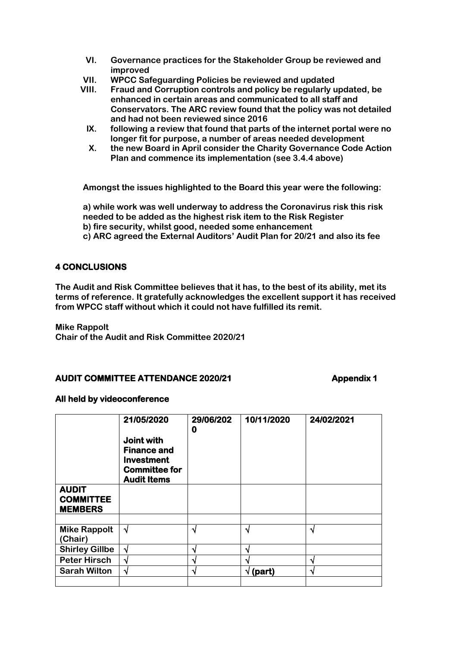- **VI. Governance practices for the Stakeholder Group be reviewed and improved**
- **VII. WPCC Safeguarding Policies be reviewed and updated**
- **VIII. Fraud and Corruption controls and policy be regularly updated, be enhanced in certain areas and communicated to all staff and Conservators. The ARC review found that the policy was not detailed and had not been reviewed since 2016**
- **IX. following a review that found that parts of the internet portal were no longer fit for purpose, a number of areas needed development**
- **X. the new Board in April consider the Charity Governance Code Action Plan and commence its implementation (see 3.4.4 above)**

**Amongst the issues highlighted to the Board this year were the following:**

**a) while work was well underway to address the Coronavirus risk this risk needed to be added as the highest risk item to the Risk Register b) fire security, whilst good, needed some enhancement** 

**c) ARC agreed the External Auditors' Audit Plan for 20/21 and also its fee**

# **4 CONCLUSIONS**

**The Audit and Risk Committee believes that it has, to the best of its ability, met its terms of reference. It gratefully acknowledges the excellent support it has received from WPCC staff without which it could not have fulfilled its remit.** 

**Mike Rappolt**

**Chair of the Audit and Risk Committee 2020/21**

#### AUDIT COMMITTEE ATTENDANCE 2020/21 **AUDIT COMMITTEE ATTENDANCE 2020/21**

#### **All held by videoconference**

|                                                    | 21/05/2020<br>Joint with<br><b>Finance and</b><br><b>Investment</b><br><b>Committee for</b><br><b>Audit Items</b> | 29/06/202<br>0 | 10/11/2020       | 24/02/2021 |
|----------------------------------------------------|-------------------------------------------------------------------------------------------------------------------|----------------|------------------|------------|
| <b>AUDIT</b><br><b>COMMITTEE</b><br><b>MEMBERS</b> |                                                                                                                   |                |                  |            |
| <b>Mike Rappolt</b><br>(Chair)                     | $\sqrt{ }$                                                                                                        | N              | N                | N          |
| <b>Shirley Gillbe</b>                              | N                                                                                                                 | ٦Ι             | N                |            |
| <b>Peter Hirsch</b>                                | ٦I                                                                                                                | ۰              |                  | ٦          |
| <b>Sarah Wilton</b>                                | N                                                                                                                 | ٩.             | $\sqrt{}$ (part) | N          |
|                                                    |                                                                                                                   |                |                  |            |